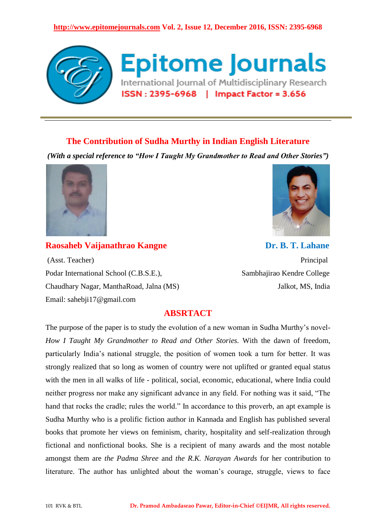## **http://www.epitomejournals.com Vol. 2, Issue 12, December 2016, ISSN: 2395-6968**



## **The Contribution of Sudha Murthy in Indian English Literature**

*(With a special reference to "How I Taught My Grandmother to Read and Other Stories")*



(Asst. Teacher) Principal Podar International School (C.B.S.E.), **Sambhajirao Kendre College** Chaudhary Nagar, ManthaRoad, Jalna (MS) Jalkot, MS, India Email: sahebji17@gmail.com

**Raosaheb Vaijanathrao Kangne Dr. B. T. Lahane** 

## **ABSRTACT**

The purpose of the paper is to study the evolution of a new woman in Sudha Murthy's novel-*How I Taught My Grandmother to Read and Other Stories.* With the dawn of freedom, particularly India's national struggle, the position of women took a turn for better. It was strongly realized that so long as women of country were not uplifted or granted equal status with the men in all walks of life - political, social, economic, educational, where India could neither progress nor make any significant advance in any field. For nothing was it said, "The hand that rocks the cradle; rules the world." In accordance to this proverb, an apt example is Sudha Murthy who is a prolific fiction author in Kannada and English has published several books that promote her views on feminism, charity, hospitality and self-realization through fictional and nonfictional books. She is a recipient of many awards and the most notable amongst them are *the Padma Shree* and *the R.K. Narayan Awards* for her contribution to literature. The author has unlighted about the woman's courage, struggle, views to face